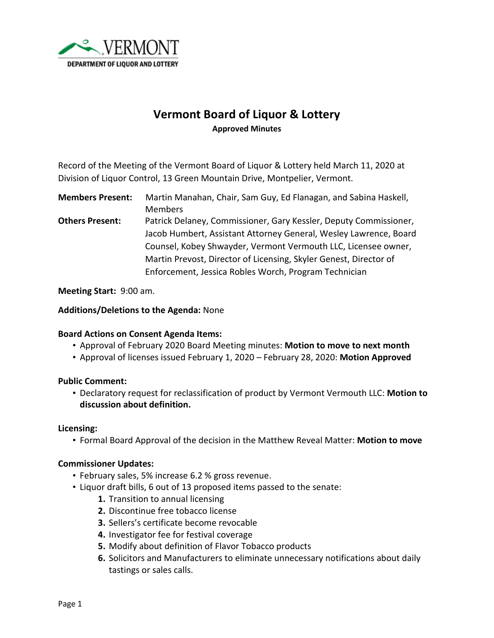

# **Vermont Board of Liquor & Lottery Approved Minutes**

Record of the Meeting of the Vermont Board of Liquor & Lottery held March 11, 2020 at Division of Liquor Control, 13 Green Mountain Drive, Montpelier, Vermont.

**Members Present:** Martin Manahan, Chair, Sam Guy, Ed Flanagan, and Sabina Haskell, Members

**Others Present:** Patrick Delaney, Commissioner, Gary Kessler, Deputy Commissioner, Jacob Humbert, Assistant Attorney General, Wesley Lawrence, Board Counsel, Kobey Shwayder, Vermont Vermouth LLC, Licensee owner, Martin Prevost, Director of Licensing, Skyler Genest, Director of Enforcement, Jessica Robles Worch, Program Technician

**Meeting Start:** 9:00 am.

#### **Additions/Deletions to the Agenda:** None

## **Board Actions on Consent Agenda Items:**

- Approval of February 2020 Board Meeting minutes: **Motion to move to next month**
- Approval of licenses issued February 1, 2020 February 28, 2020: **Motion Approved**

## **Public Comment:**

• Declaratory request for reclassification of product by Vermont Vermouth LLC: **Motion to discussion about definition.**

#### **Licensing:**

• Formal Board Approval of the decision in the Matthew Reveal Matter: **Motion to move**

#### **Commissioner Updates:**

- February sales, 5% increase 6.2 % gross revenue.
- Liquor draft bills, 6 out of 13 proposed items passed to the senate:
	- **1.** Transition to annual licensing
	- **2.** Discontinue free tobacco license
	- **3.** Sellers's certificate become revocable
	- **4.** Investigator fee for festival coverage
	- **5.** Modify about definition of Flavor Tobacco products
	- **6.** Solicitors and Manufacturers to eliminate unnecessary notifications about daily tastings or sales calls.